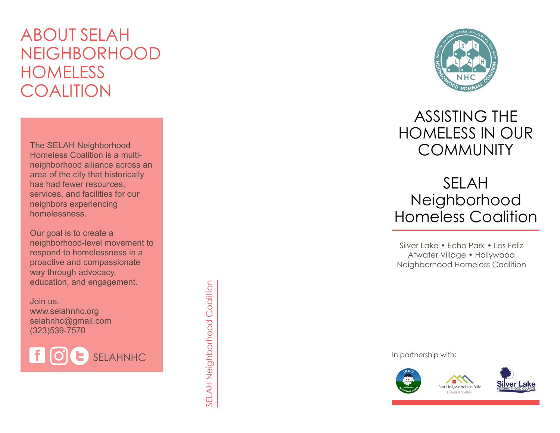# ABOUT SELAH NEIGHBORHOOD **HOMELESS COALITION**

The SELAH Neighborhood Homeless Coalition is a multi neighborhood alliance across an area of the city that historically has had fewer resources, services, and facilities for our neighbors experiencing homelessness.

Our goal is to create a neighborhood -level movement to respond to homelessness in a proactive and compassionate way through advocacy, education, and engagement.

Join us. www.selahnhc.org selahnhc@gmail.com (323)539 -7570

fl SELAHNHC SELAH Neighborhood Coalition



## ASSISTING THE HOMELESS IN OUR **COMMUNITY**

## SELAH Neighborhood Homeless Coalition

Silver Lake • Echo Park • Los Feliz Atwater Village • Hollywood Neighborhood Homeless Coalition

In partnership with: